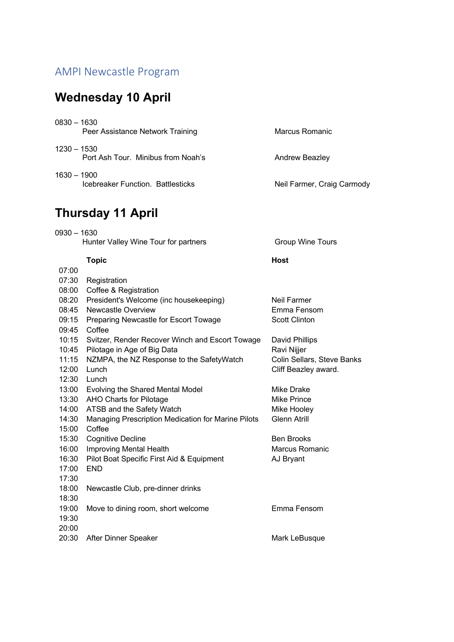## AMPI Newcastle Program

## **Wednesday 10 April**

| $0830 - 1630$ | Peer Assistance Network Training   | Marcus Romanic             |
|---------------|------------------------------------|----------------------------|
| $1230 - 1530$ | Port Ash Tour. Minibus from Noah's | Andrew Beazley             |
| $1630 - 1900$ | Icebreaker Function. Battlesticks  | Neil Farmer, Craig Carmody |

## **Thursday 11 April**

0930 – 1630 Hunter Valley Wine Tour for partners **Fig. 2018** Group Wine Tours

### **Topic Host**

| 07:00 |                                                    |                            |
|-------|----------------------------------------------------|----------------------------|
| 07:30 | Registration                                       |                            |
| 08:00 | Coffee & Registration                              |                            |
| 08:20 | President's Welcome (inc housekeeping)             | Neil Farmer                |
| 08:45 | Newcastle Overview                                 | Emma Fensom                |
| 09:15 | Preparing Newcastle for Escort Towage              | <b>Scott Clinton</b>       |
| 09:45 | Coffee                                             |                            |
| 10:15 | Svitzer, Render Recover Winch and Escort Towage    | David Phillips             |
| 10:45 | Pilotage in Age of Big Data                        | Ravi Nijjer                |
| 11:15 | NZMPA, the NZ Response to the SafetyWatch          | Colin Sellars, Steve Banks |
| 12:00 | Lunch                                              | Cliff Beazley award.       |
| 12:30 | Lunch                                              |                            |
|       | 13:00 Evolving the Shared Mental Model             | Mike Drake                 |
| 13:30 | <b>AHO Charts for Pilotage</b>                     | Mike Prince                |
| 14:00 | ATSB and the Safety Watch                          | Mike Hooley                |
| 14:30 | Managing Prescription Medication for Marine Pilots | <b>Glenn Atrill</b>        |
| 15:00 | Coffee                                             |                            |
| 15:30 | <b>Cognitive Decline</b>                           | <b>Ben Brooks</b>          |
| 16:00 | Improving Mental Health                            | Marcus Romanic             |
| 16:30 | Pilot Boat Specific First Aid & Equipment          | AJ Bryant                  |
| 17:00 | <b>END</b>                                         |                            |
| 17:30 |                                                    |                            |
| 18:00 | Newcastle Club, pre-dinner drinks                  |                            |
| 18:30 |                                                    |                            |
| 19:00 | Move to dining room, short welcome                 | Emma Fensom                |
| 19:30 |                                                    |                            |
| 20:00 |                                                    |                            |
| 20:30 | After Dinner Speaker                               | Mark LeBusque              |